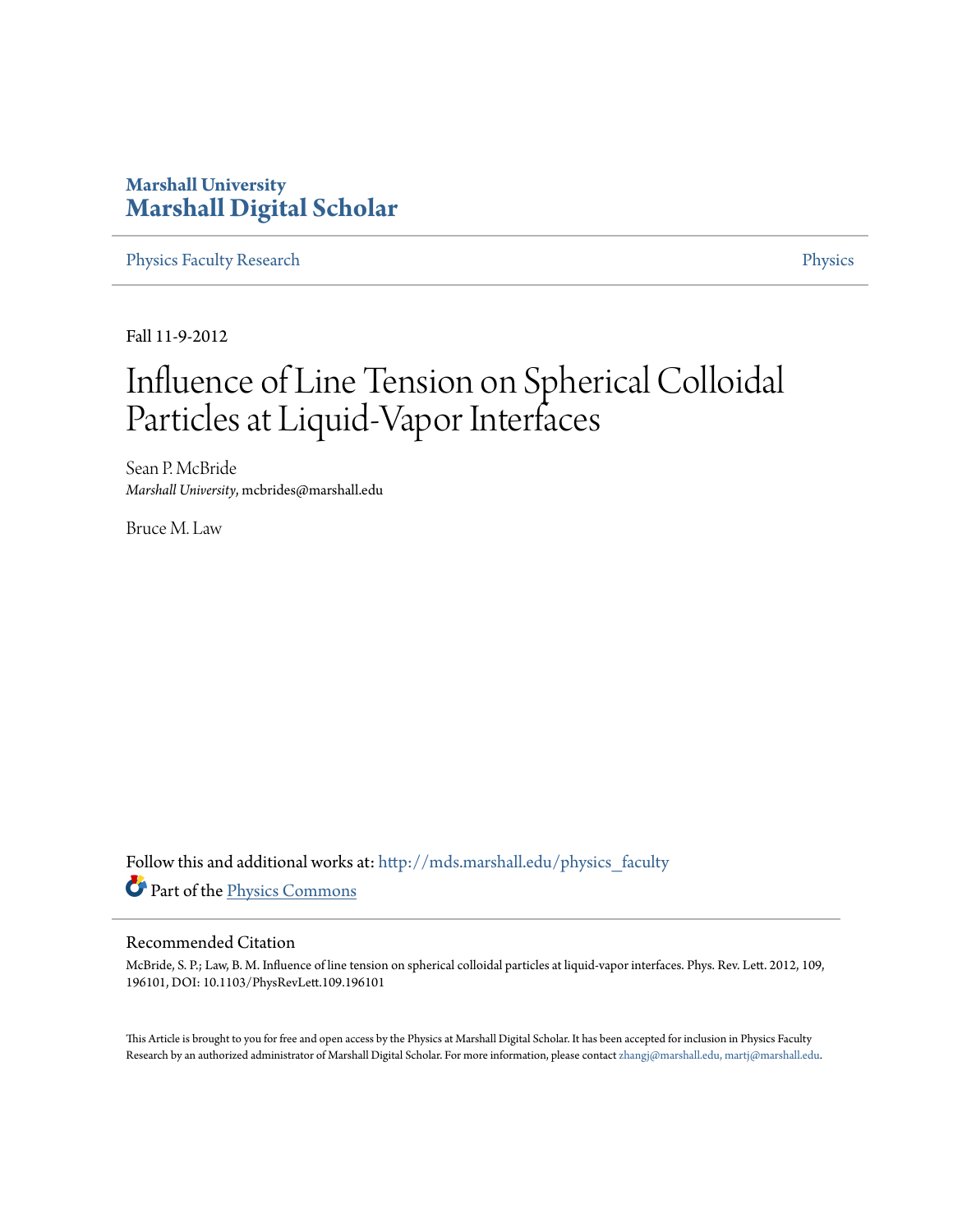## **Marshall University [Marshall Digital Scholar](http://mds.marshall.edu?utm_source=mds.marshall.edu%2Fphysics_faculty%2F58&utm_medium=PDF&utm_campaign=PDFCoverPages)**

[Physics Faculty Research](http://mds.marshall.edu/physics_faculty?utm_source=mds.marshall.edu%2Fphysics_faculty%2F58&utm_medium=PDF&utm_campaign=PDFCoverPages) **[Physics](http://mds.marshall.edu/physics?utm_source=mds.marshall.edu%2Fphysics_faculty%2F58&utm_medium=PDF&utm_campaign=PDFCoverPages)** 

Fall 11-9-2012

## Influence of Line Tension on Spherical Colloidal Particles at Liquid-Vapor Interfaces

Sean P. McBride *Marshall University*, mcbrides@marshall.edu

Bruce M. Law

Follow this and additional works at: [http://mds.marshall.edu/physics\\_faculty](http://mds.marshall.edu/physics_faculty?utm_source=mds.marshall.edu%2Fphysics_faculty%2F58&utm_medium=PDF&utm_campaign=PDFCoverPages) Part of the [Physics Commons](http://network.bepress.com/hgg/discipline/193?utm_source=mds.marshall.edu%2Fphysics_faculty%2F58&utm_medium=PDF&utm_campaign=PDFCoverPages)

## Recommended Citation

McBride, S. P.; Law, B. M. Influence of line tension on spherical colloidal particles at liquid-vapor interfaces. Phys. Rev. Lett. 2012, 109, 196101, DOI: 10.1103/PhysRevLett.109.196101

This Article is brought to you for free and open access by the Physics at Marshall Digital Scholar. It has been accepted for inclusion in Physics Faculty Research by an authorized administrator of Marshall Digital Scholar. For more information, please contact [zhangj@marshall.edu, martj@marshall.edu.](mailto:zhangj@marshall.edu,%20martj@marshall.edu)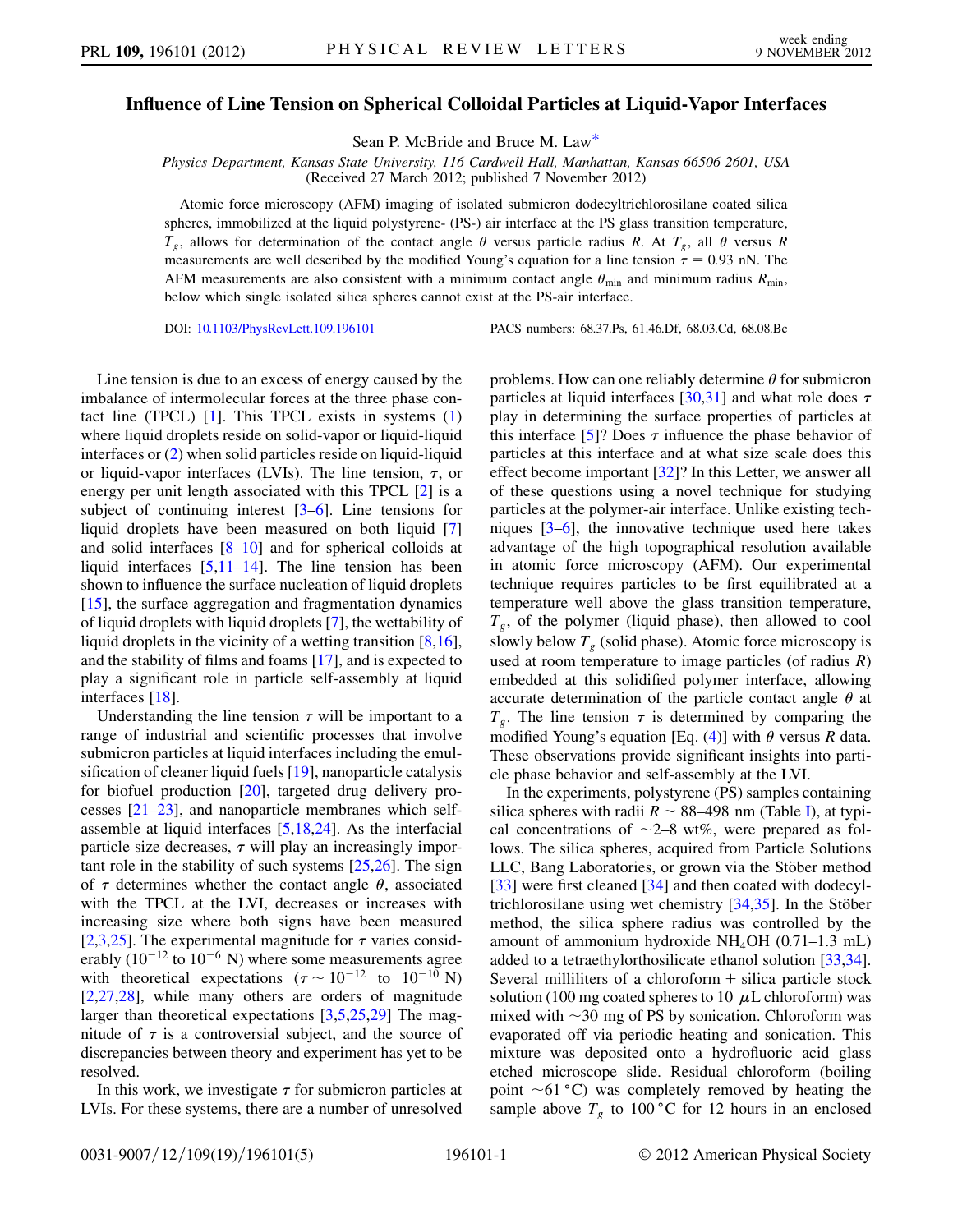## <span id="page-1-0"></span>Influence of Line Tension on Spherical Colloidal Particles at Liquid-Vapor Interfaces

Sean P. McBride and Bruce M. La[w\\*](#page-5-0)

Physics Department, Kansas State University, 116 Cardwell Hall, Manhattan, Kansas 66506 2601, USA (Received 27 March 2012; published 7 November 2012)

Atomic force microscopy (AFM) imaging of isolated submicron dodecyltrichlorosilane coated silica spheres, immobilized at the liquid polystyrene- (PS-) air interface at the PS glass transition temperature,  $T_g$ , allows for determination of the contact angle  $\theta$  versus particle radius R. At  $T_g$ , all  $\theta$  versus R measurements are well described by the modified Young's equation for a line tension  $\tau = 0.93$  nN. The AEM measurements are also consistent with a minimum contact angle  $\theta$  and minimum radius  $R$ AFM measurements are also consistent with a minimum contact angle  $\theta_{\min}$  and minimum radius  $R_{\min}$ , below which single isolated silica spheres cannot exist at the PS-air interface.

DOI: [10.1103/PhysRevLett.109.196101](http://dx.doi.org/10.1103/PhysRevLett.109.196101) PACS numbers: 68.37.Ps, 61.46.Df, 68.03.Cd, 68.08.Bc

Line tension is due to an excess of energy caused by the imbalance of intermolecular forces at the three phase contact line (TPCL)  $[1]$  $[1]$ . This TPCL exists in systems  $(1)$ where liquid droplets reside on solid-vapor or liquid-liquid interfaces or [\(2](#page-2-1)) when solid particles reside on liquid-liquid or liquid-vapor interfaces (LVIs). The line tension,  $\tau$ , or energy per unit length associated with this TPCL [[2](#page-5-2)] is a subject of continuing interest [\[3–](#page-5-3)[6](#page-5-4)]. Line tensions for liquid droplets have been measured on both liquid [\[7\]](#page-5-5) and solid interfaces  $[8-10]$  $[8-10]$  $[8-10]$  and for spherical colloids at liquid interfaces  $[5,11-14]$  $[5,11-14]$  $[5,11-14]$  $[5,11-14]$ . The line tension has been shown to influence the surface nucleation of liquid droplets  $[15]$ , the surface aggregation and fragmentation dynamics of liquid droplets with liquid droplets [[7\]](#page-5-5), the wettability of liquid droplets in the vicinity of a wetting transition [[8,](#page-5-6)[16\]](#page-5-12), and the stability of films and foams [[17](#page-5-13)], and is expected to play a significant role in particle self-assembly at liquid interfaces [\[18\]](#page-5-14).

Understanding the line tension  $\tau$  will be important to a range of industrial and scientific processes that involve submicron particles at liquid interfaces including the emulsification of cleaner liquid fuels [\[19\]](#page-5-15), nanoparticle catalysis for biofuel production [\[20](#page-5-16)], targeted drug delivery processes [\[21](#page-5-17)[–23\]](#page-5-18), and nanoparticle membranes which selfassemble at liquid interfaces [[5](#page-5-8)[,18](#page-5-14)[,24\]](#page-5-19). As the interfacial particle size decreases,  $\tau$  will play an increasingly important role in the stability of such systems  $[25,26]$  $[25,26]$  $[25,26]$  $[25,26]$  $[25,26]$ . The sign of  $\tau$  determines whether the contact angle  $\theta$ , associated with the TPCL at the LVI, decreases or increases with increasing size where both signs have been measured [\[2,](#page-5-2)[3](#page-5-3)[,25\]](#page-5-20). The experimental magnitude for  $\tau$  varies considerably (10<sup>-12</sup> to 10<sup>-6</sup> N) where some measurements agree<br>with theoretical expectations ( $\tau \sim 10^{-12}$  to 10<sup>-10</sup> N)<br>12.27.281, while many others are orders of magnitude [\[2,](#page-5-2)[27](#page-5-22)[,28\]](#page-5-23), while many others are orders of magnitude larger than theoretical expectations [\[3](#page-5-3)[,5](#page-5-8),[25](#page-5-20),[29](#page-5-24)] The magnitude of  $\tau$  is a controversial subject, and the source of discrepancies between theory and experiment has yet to be resolved.

In this work, we investigate  $\tau$  for submicron particles at LVIs. For these systems, there are a number of unresolved problems. How can one reliably determine  $\theta$  for submicron particles at liquid interfaces [\[30,](#page-5-25)[31\]](#page-5-26) and what role does  $\tau$ play in determining the surface properties of particles at this interface [[5](#page-5-8)]? Does  $\tau$  influence the phase behavior of particles at this interface and at what size scale does this effect become important [\[32](#page-5-27)]? In this Letter, we answer all of these questions using a novel technique for studying particles at the polymer-air interface. Unlike existing techniques [[3](#page-5-3)[–6\]](#page-5-4), the innovative technique used here takes advantage of the high topographical resolution available in atomic force microscopy (AFM). Our experimental technique requires particles to be first equilibrated at a temperature well above the glass transition temperature,  $T_{g}$ , of the polymer (liquid phase), then allowed to cool slowly below  $T_g$  (solid phase). Atomic force microscopy is used at room temperature to image particles (of radius  $R$ ) embedded at this solidified polymer interface, allowing accurate determination of the particle contact angle  $\theta$  at  $T_g$ . The line tension  $\tau$  is determined by comparing the modified Young's equation [Eq. [\(4\)](#page-2-2)] with  $\theta$  versus R data. These observations provide significant insights into particle phase behavior and self-assembly at the LVI.

In the experiments, polystyrene (PS) samples containing silica spheres with radii  $R \sim 88-498$  nm (Table [I](#page-2-3)), at typical concentrations of  $\sim 2-8$  wt%, were prepared as folcal concentrations of  $\sim$ 2–8 wt%, were prepared as fol-<br>lows. The silica spheres, acquired from Particle Solutions lows. The silica spheres, acquired from Particle Solutions LLC, Bang Laboratories, or grown via the Stöber method [\[33\]](#page-5-28) were first cleaned [[34](#page-5-29)] and then coated with dodecyltrichlorosilane using wet chemistry  $[34,35]$  $[34,35]$  $[34,35]$  $[34,35]$  $[34,35]$ . In the Stöber method, the silica sphere radius was controlled by the amount of ammonium hydroxide NH<sub>4</sub>OH  $(0.71-1.3 \text{ mL})$ added to a tetraethylorthosilicate ethanol solution [\[33,](#page-5-28)[34\]](#page-5-29). Several milliliters of a chloroform  $+$  silica particle stock solution (100 mg coated spheres to 10  $\mu$ L chloroform) was mixed with  $\sim$ 30 mg of PS by sonication. Chloroform was<br>evanorated off via periodic heating and sonication. This evaporated off via periodic heating and sonication. This mixture was deposited onto a hydrofluoric acid glass etched microscope slide. Residual chloroform (boiling point  $\sim$  61 °C) was completely removed by heating the sample above T to 100 °C for 12 hours in an enclosed sample above  $T_g$  to 100 °C for 12 hours in an enclosed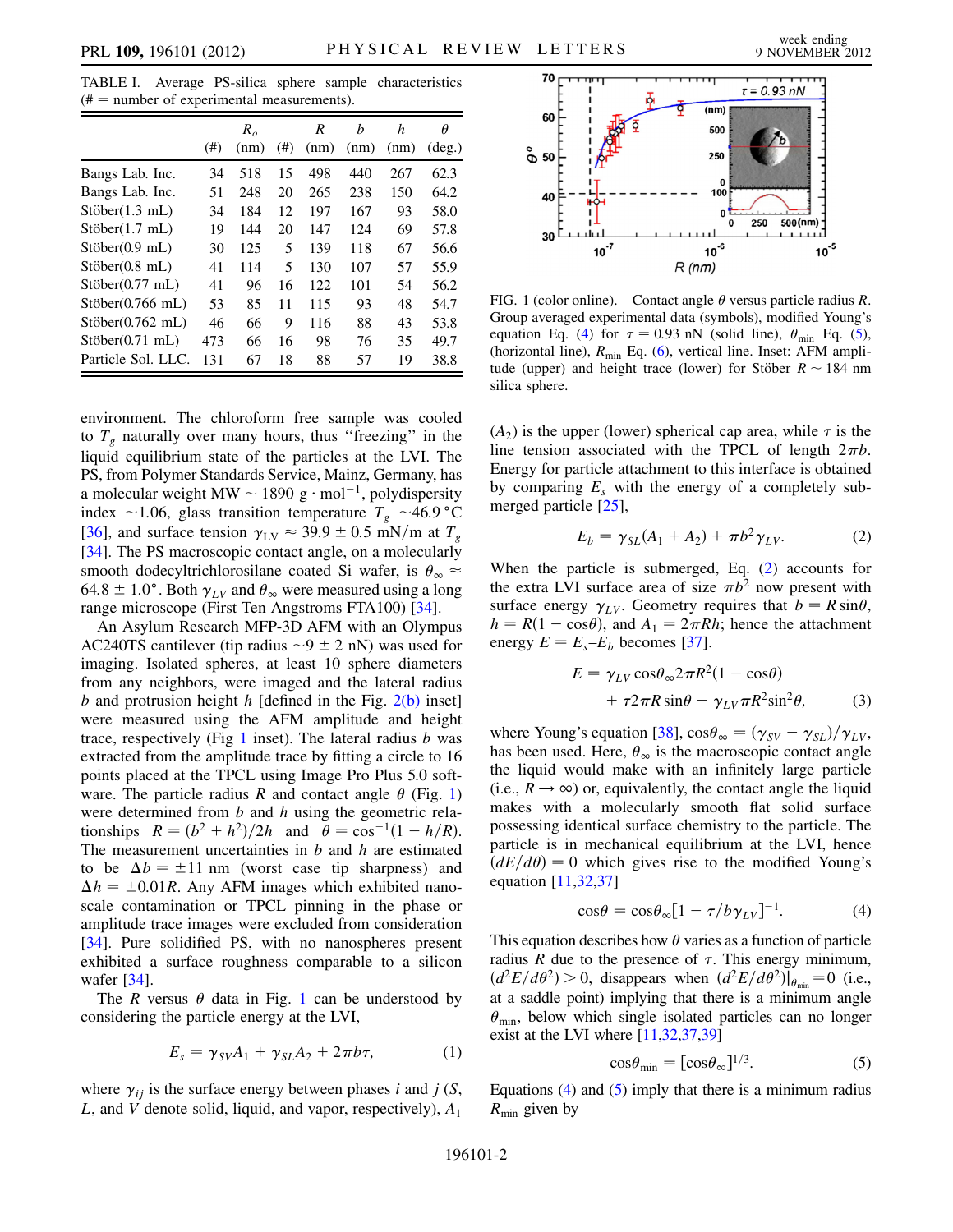<span id="page-2-3"></span>TABLE I. Average PS-silica sphere sample characteristics  $#$  = number of experimental measurements).

|                    |      | $R_{\alpha}$ |      | R    | h    | h    | Ĥ               |
|--------------------|------|--------------|------|------|------|------|-----------------|
|                    | (# ) | (nm)         | (# ) | (nm) | (nm) | (nm) | $(\text{deg.})$ |
| Bangs Lab. Inc.    | 34   | 518          | 15   | 498  | 440  | 267  | 62.3            |
| Bangs Lab. Inc.    | 51   | 248          | 20   | 265  | 238  | 150  | 64.2            |
| Stöber(1.3 mL)     | 34   | 184          | 12   | 197  | 167  | 93   | 58.0            |
| Stöber(1.7 mL)     | 19   | 144          | 20   | 147  | 124  | 69   | 57.8            |
| Stöber(0.9 mL)     | 30   | 125          | 5    | 139  | 118  | 67   | 56.6            |
| Stöber(0.8 mL)     | 41   | 114          | 5    | 130  | 107  | 57   | 55.9            |
| Stöber(0.77 mL)    | 41   | 96           | 16   | 122  | 101  | 54   | 56.2            |
| $Stöber(0.766$ mL) | 53   | 85           | 11   | 115  | 93   | 48   | 54.7            |
| Stöber(0.762 mL)   | 46   | 66           | 9    | 116  | 88   | 43   | 53.8            |
| Stöber(0.71 mL)    | 473  | 66           | 16   | 98   | 76   | 35   | 49.7            |
| Particle Sol. LLC. | 131  | 67           | 18   | 88   | 57   | 19   | 38.8            |

environment. The chloroform free sample was cooled to  $T<sub>g</sub>$  naturally over many hours, thus "freezing" in the liquid equilibrium state of the particles at the LVI. The PS, from Polymer Standards Service, Mainz, Germany, has a molecular weight MW  $\sim$  1890 g · mol<sup>-1</sup>, polydispersity<br>index  $\sim$  1.06 slass transition temperature  $T \sim$  46.9 °C index ~1.06, glass transition temperature  $T_g \sim 46.9 \text{ °C}$ <br>[36] and surface tension  $\gamma_{\text{max}} \approx 39.9 \pm 0.5 \text{ mN/m at } T$ [\[36\]](#page-5-31), and surface tension  $\gamma_{\rm LV} \approx 39.9 \pm 0.5$  mN/m at  $T_g$ [\[34\]](#page-5-29). The PS macroscopic contact angle, on a molecularly smooth dodecyltrichlorosilane coated Si wafer, is  $\theta_{\infty} \approx$ 64.8  $\pm$  1.0°. Both  $\gamma_{LV}$  and  $\theta_{\infty}$  were measured using a long range microscope (First Ten Angstroms FTA100) [\[34\]](#page-5-29).

An Asylum Research MFP-3D AFM with an Olympus AC240TS cantilever (tip radius  $\sim$ 9  $\pm$  2 nN) was used for imaging Isolated spheres at least 10 sphere diameters imaging. Isolated spheres, at least 10 sphere diameters from any neighbors, were imaged and the lateral radius b and protrusion height h [defined in the Fig.  $2(b)$  inset] were measured using the AFM amplitude and height trace, respectively (Fig [1](#page-2-4) inset). The lateral radius  $b$  was extracted from the amplitude trace by fitting a circle to 16 points placed at the TPCL using Image Pro Plus 5.0 software. The particle radius R and contact angle  $\theta$  (Fig. [1\)](#page-2-4) were determined from  $b$  and  $h$  using the geometric relationships  $R = (b^2 + h^2)/2h$  and  $\theta = \cos^{-1}(1 - h/R)$ . The measurement uncertainties in  $b$  and  $h$  are estimated to be  $\Delta b = \pm 11$  nm (worst case tip sharpness) and  $\Delta h = \pm 0.01R$ . Any AFM images which exhibited nanoscale contamination or TPCL pinning in the phase or amplitude trace images were excluded from consideration [\[34\]](#page-5-29). Pure solidified PS, with no nanospheres present exhibited a surface roughness comparable to a silicon wafer [\[34\]](#page-5-29).

<span id="page-2-0"></span>The R versus  $\theta$  data in Fig. [1](#page-2-4) can be understood by considering the particle energy at the LVI,

$$
E_s = \gamma_{SV} A_1 + \gamma_{SL} A_2 + 2\pi b \tau, \tag{1}
$$

where  $\gamma_{ij}$  is the surface energy between phases i and j (S, L, and V denote solid, liquid, and vapor, respectively),  $A_1$ 

<span id="page-2-4"></span>

FIG. 1 (color online). Contact angle  $\theta$  versus particle radius R. Group averaged experimental data (symbols), modified Young's equation Eq. ([4](#page-2-2)) for  $\tau = 0.93$  nN (solid line),  $\theta_{\min}$  Eq. ([5\)](#page-2-5), (horizontal line),  $R = \text{Eq. (6)}$  vertical line, Inset: AFM ampli-(horizontal line),  $R_{\text{min}}$  Eq. [\(6](#page-3-1)), vertical line. Inset: AFM amplitude (upper) and height trace (lower) for Stöber  $R \sim 184$  nm silica sphere silica sphere.

 $(A_2)$  is the upper (lower) spherical cap area, while  $\tau$  is the line to the special with the TPCL of length  $2\pi h$ line tension associated with the TPCL of length  $2\pi b$ . Energy for particle attachment to this interface is obtained by comparing  $E<sub>s</sub>$  with the energy of a completely submerged particle [\[25\]](#page-5-20),

$$
E_b = \gamma_{SL}(A_1 + A_2) + \pi b^2 \gamma_{LV}.
$$
 (2)

<span id="page-2-6"></span><span id="page-2-1"></span>When the particle is submerged, Eq. [\(2](#page-2-1)) accounts for the extra LVI surface area of size  $\pi b^2$  now present with surface energy  $\gamma_{LV}$ . Geometry requires that  $b = R \sin\theta$ ,  $h = R(1 - \cos\theta)$ , and  $A_1 = 2\pi Rh$ ; hence the attachment energy  $E = E_s - E_b$  becomes [\[37\]](#page-5-32).

$$
E = \gamma_{LV} \cos \theta_{\infty} 2\pi R^2 (1 - \cos \theta)
$$
  
+  $\tau 2\pi R \sin \theta - \gamma_{LV} \pi R^2 \sin^2 \theta$ , (3)

where Young's equation [[38](#page-5-33)],  $\cos\theta_{\infty} = (\gamma_{SV} - \gamma_{SL})/\gamma_{LV}$ , has been used. Here,  $\theta_{\infty}$  is the macroscopic contact angle the liquid would make with an infinitely large particle (i.e.,  $R \rightarrow \infty$ ) or, equivalently, the contact angle the liquid makes with a molecularly smooth flat solid surface possessing identical surface chemistry to the particle. The particle is in mechanical equilibrium at the LVI, hence  $(dE/d\theta) = 0$  which gives rise to the modified Young's equation [[11](#page-5-9),[32](#page-5-27),[37](#page-5-32)]

$$
\cos \theta = \cos \theta_{\infty} [1 - \tau / b \gamma_{LV}]^{-1}.
$$
 (4)

<span id="page-2-2"></span>This equation describes how  $\theta$  varies as a function of particle radius R due to the presence of  $\tau$ . This energy minimum,  $(d^2E/d\theta^2) > 0$ , disappears when  $(d^2E/d\theta^2)|_{\theta_{min}} = 0$  (i.e., at a saddle point) implying that there is a minimum angle  $\theta_{\text{min}}$ , below which single isolated particles can no longer exist at the LVI where [\[11](#page-5-9)[,32,](#page-5-27)[37](#page-5-32),[39\]](#page-5-34)

$$
\cos \theta_{\min} = [\cos \theta_{\infty}]^{1/3}.
$$
 (5)

<span id="page-2-5"></span>Equations  $(4)$  $(4)$  and  $(5)$  $(5)$  imply that there is a minimum radius  $R_{\text{min}}$  given by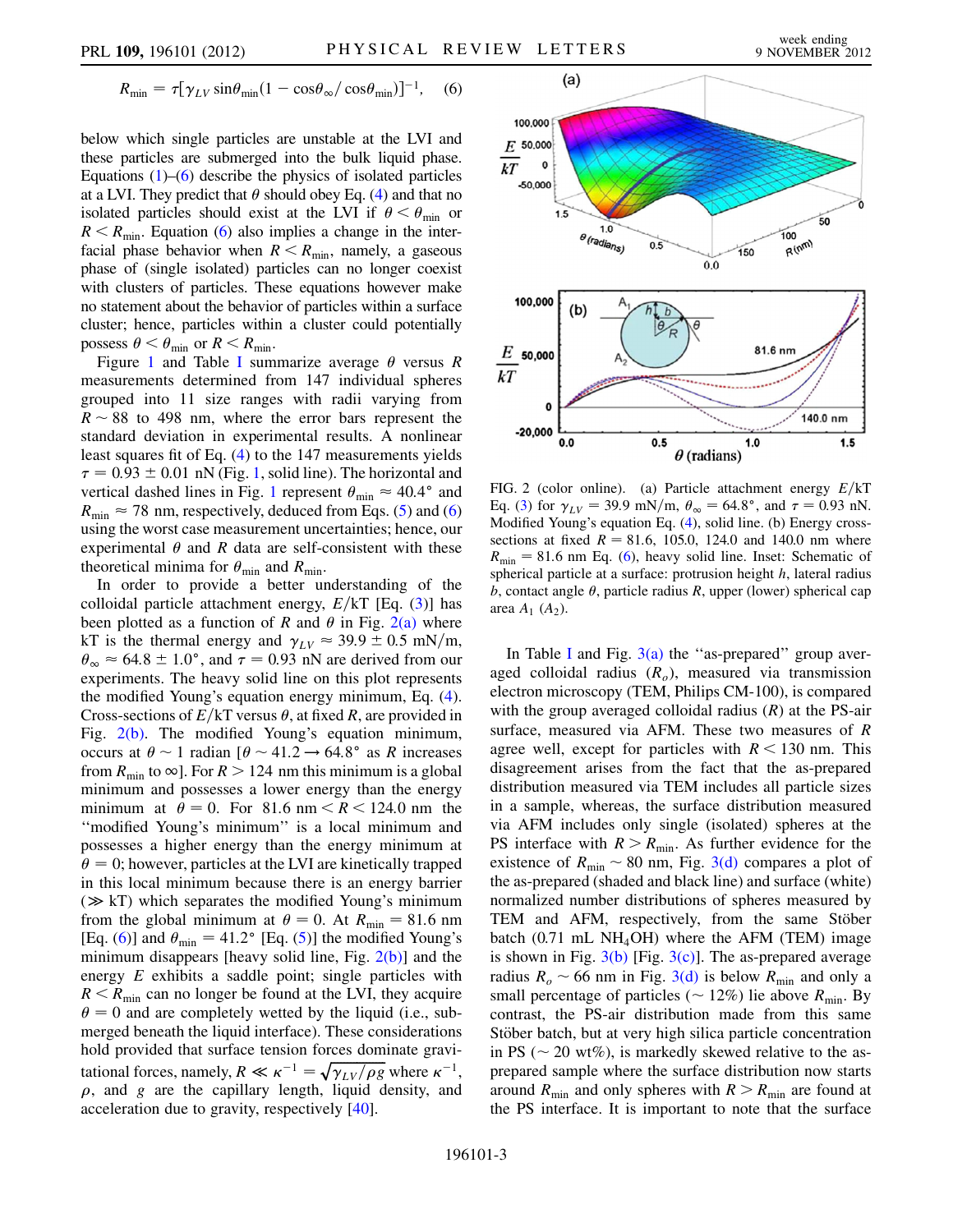<span id="page-3-1"></span>
$$
R_{\min} = \tau [\gamma_{LV} \sin \theta_{\min} (1 - \cos \theta_{\infty} / \cos \theta_{\min})]^{-1}, \quad (6)
$$

below which single particles are unstable at the LVI and these particles are submerged into the bulk liquid phase. Equations  $(1)$ – $(6)$  $(6)$  describe the physics of isolated particles at a LVI. They predict that  $\theta$  should obey Eq. [\(4](#page-2-2)) and that no isolated particles should exist at the LVI if  $\theta < \theta_{\min}$  or  $R < R_{\text{min}}$ . Equation ([6\)](#page-3-1) also implies a change in the interfacial phase behavior when  $R < R_{min}$ , namely, a gaseous phase of (single isolated) particles can no longer coexist with clusters of particles. These equations however make no statement about the behavior of particles within a surface cluster; hence, particles within a cluster could potentially possess  $\theta < \theta_{\min}$  or  $R < R_{\min}$ .

Figure [1](#page-2-4) and Table [I](#page-2-3) summarize average  $\theta$  versus R measurements determined from 147 individual spheres grouped into 11 size ranges with radii varying from  $R \sim 88$  to 498 nm, where the error bars represent the standard deviation in experimental results. A nonlinear standard deviation in experimental results. A nonlinear least squares fit of Eq. [\(4](#page-2-2)) to the 147 measurements yields  $\tau = 0.93 \pm 0.01$  nN (Fig. [1,](#page-2-4) solid line). The horizontal and<br>vertical dashed lines in Fig. 1 represent  $\theta = \approx 40.4^{\circ}$  and vertical dashed lines in Fig. [1](#page-2-4) represent  $\theta_{\min} \approx 40.4^{\circ}$  and  $R_{\text{min}} \approx 78$  nm, respectively, deduced from Eqs. [\(5\)](#page-2-5) and [\(6\)](#page-3-1) using the worst case measurement uncertainties; hence, our experimental  $\theta$  and R data are self-consistent with these theoretical minima for  $\theta_{\min}$  and  $R_{\min}$ .

In order to provide a better understanding of the colloidal particle attachment energy,  $E/kT$  [Eq. ([3\)](#page-2-6)] has been plotted as a function of R and  $\theta$  in Fig. [2\(a\)](#page-3-0) where kT is the thermal energy and  $\gamma_{LV} \approx 39.9 \pm 0.5$  mN/m,  $\theta_{\infty} \approx 64.8 \pm 1.0^{\circ}$ , and  $\tau = 0.93$  nN are derived from our experiments. The heavy solid line on this plot represents experiments. The heavy solid line on this plot represents the modified Young's equation energy minimum, Eq. ([4\)](#page-2-2). Cross-sections of  $E/KT$  versus  $\theta$ , at fixed R, are provided in Fig. [2\(b\).](#page-3-0) The modified Young's equation minimum, occurs at  $\theta \sim 1$  radian  $\left[\theta \sim 41.2 \rightarrow 64.8^{\circ}\right]$  as R increases<br>from  $R_{\odot}$  to  $\infty$  For  $R > 124$  nm this minimum is a global from  $R_{\text{min}}$  to  $\infty$ ]. For  $R > 124$  nm this minimum is a global minimum and possesses a lower energy than the energy minimum at  $\theta = 0$ . For 81.6 nm  $\le R \le 124.0$  nm the ''modified Young's minimum'' is a local minimum and possesses a higher energy than the energy minimum at  $\theta = 0$ ; however, particles at the LVI are kinetically trapped in this local minimum because there is an energy barrier  $(\gg kT)$  which separates the modified Young's minimum from the global minimum at  $\theta = 0$ . At  $R_{\text{min}} = 81.6$  nm [Eq. [\(6](#page-3-1))] and  $\theta_{\min} = 41.2^{\circ}$  [Eq. ([5](#page-2-5))] the modified Young's minimum disappears [heavy solid line, Fig.  $2(b)$ ] and the energy  $E$  exhibits a saddle point; single particles with  $R < R_{\text{min}}$  can no longer be found at the LVI, they acquire  $\theta = 0$  and are completely wetted by the liquid (i.e., submerged beneath the liquid interface). These considerations hold provided that surface tension forces dominate gravihold provided that surface tension forces dominate gravitational forces, namely,  $R \ll \kappa^{-1} = \sqrt{\gamma_{LV}/\rho g}$  where  $\kappa^{-1}$ ,  $\rho$ , and g are the capillary length, liquid density, and acceleration due to gravity, respectively [[40](#page-5-35)].



<span id="page-3-0"></span>FIG. 2 (color online). (a) Particle attachment energy  $E/KT$ Eq. [\(3](#page-2-6)) for  $\gamma_{LV} = 39.9 \text{ mN/m}$ ,  $\theta_{\infty} = 64.8^{\circ}$ , and  $\tau = 0.93 \text{ nN}$ .<br>Modified Young's equation Eq. (4), solid line, (b) Energy cross-Modified Young's equation Eq. [\(4](#page-2-2)), solid line. (b) Energy crosssections at fixed  $R = 81.6, 105.0, 124.0$  and 140.0 nm where  $R_{\text{min}} = 81.6$  $R_{\text{min}} = 81.6$  nm Eq. (6), heavy solid line. Inset: Schematic of spherical particle at a surface: protrusion height  $h$ , lateral radius b, contact angle  $\theta$ , particle radius R, upper (lower) spherical cap area  $A_1$   $(A_2)$ .

[I](#page-2-3)n Table I and Fig.  $3(a)$  the "as-prepared" group averaged colloidal radius  $(R<sub>o</sub>)$ , measured via transmission electron microscopy (TEM, Philips CM-100), is compared with the group averaged colloidal radius  $(R)$  at the PS-air surface, measured via AFM. These two measures of R agree well, except for particles with  $R < 130$  nm. This disagreement arises from the fact that the as-prepared distribution measured via TEM includes all particle sizes in a sample, whereas, the surface distribution measured via AFM includes only single (isolated) spheres at the PS interface with  $R > R_{\text{min}}$ . As further evidence for the existence of  $R_{\text{min}} \sim 80$  nm, Fig. [3\(d\)](#page-4-0) compares a plot of the as-prepared (shaded and black line) and surface (white) the as-prepared (shaded and black line) and surface (white) normalized number distributions of spheres measured by TEM and AFM, respectively, from the same Stöber batch  $(0.71 \text{ mL NH}_4\text{OH})$  where the AFM (TEM) image is shown in Fig.  $3(b)$  [Fig.  $3(c)$ ]. The as-prepared average radius  $R_o \sim 66$  nm in Fig. [3\(d\)](#page-4-0) is below  $R_{\text{min}}$  and only a small percentage of particles  $(\sim 12\%)$  lie above  $R_{\text{min}}$ . small percentage of particles ( $\sim 12\%$ ) lie above  $R_{\text{min}}$ . By<br>contrast the PS-air distribution made from this same contrast, the PS-air distribution made from this same Stöber batch, but at very high silica particle concentration in PS ( $\sim$  20 wt%), is markedly skewed relative to the as-<br>prepared sample where the surface distribution now starts prepared sample where the surface distribution now starts around  $R_{\text{min}}$  and only spheres with  $R > R_{\text{min}}$  are found at the PS interface. It is important to note that the surface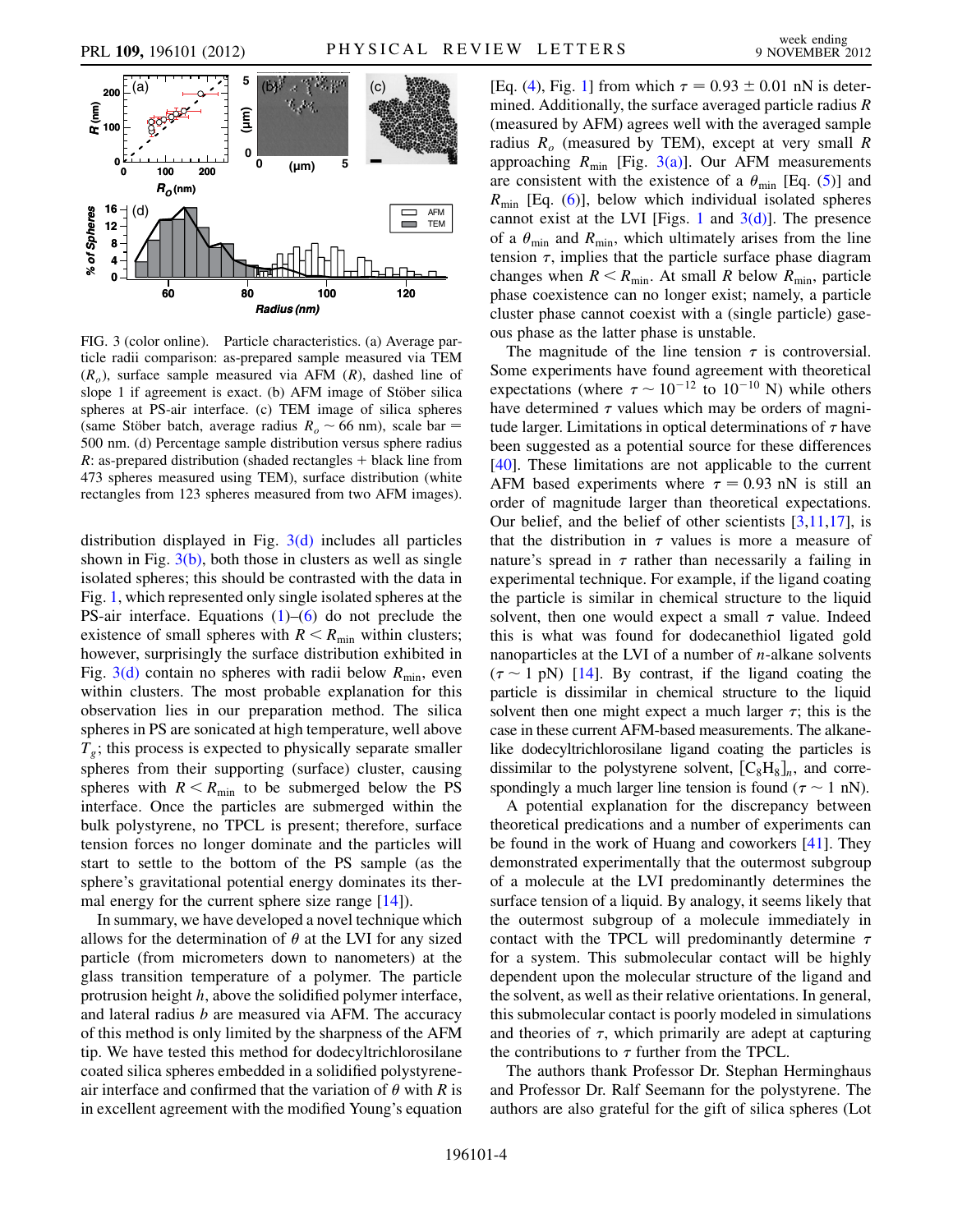

<span id="page-4-0"></span>FIG. 3 (color online). Particle characteristics. (a) Average particle radii comparison: as-prepared sample measured via TEM  $(R_o)$ , surface sample measured via AFM  $(R)$ , dashed line of slope 1 if agreement is exact. (b) AFM image of Stöber silica spheres at PS-air interface. (c) TEM image of silica spheres (same Stöber batch, average radius  $R_o \sim 66$  nm), scale bar = 500 nm (d) Percentage sample distribution versus sphere radius 500 nm. (d) Percentage sample distribution versus sphere radius  $R:$  as-prepared distribution (shaded rectangles  $+$  black line from 473 spheres measured using TEM), surface distribution (white rectangles from 123 spheres measured from two AFM images).

distribution displayed in Fig. [3\(d\)](#page-4-0) includes all particles shown in Fig.  $3(b)$ , both those in clusters as well as single isolated spheres; this should be contrasted with the data in Fig. [1,](#page-2-4) which represented only single isolated spheres at the PS-air interface. Equations  $(1)$  $(1)$  $(1)$ – $(6)$  do not preclude the existence of small spheres with  $R < R_{\text{min}}$  within clusters; however, surprisingly the surface distribution exhibited in Fig. [3\(d\)](#page-4-0) contain no spheres with radii below  $R_{\text{min}}$ , even within clusters. The most probable explanation for this observation lies in our preparation method. The silica spheres in PS are sonicated at high temperature, well above  $T<sub>g</sub>$ ; this process is expected to physically separate smaller spheres from their supporting (surface) cluster, causing spheres with  $R < R_{\text{min}}$  to be submerged below the PS interface. Once the particles are submerged within the bulk polystyrene, no TPCL is present; therefore, surface tension forces no longer dominate and the particles will start to settle to the bottom of the PS sample (as the sphere's gravitational potential energy dominates its thermal energy for the current sphere size range  $[14]$  $[14]$  $[14]$ ).

In summary, we have developed a novel technique which allows for the determination of  $\theta$  at the LVI for any sized particle (from micrometers down to nanometers) at the glass transition temperature of a polymer. The particle protrusion height h, above the solidified polymer interface, and lateral radius b are measured via AFM. The accuracy of this method is only limited by the sharpness of the AFM tip. We have tested this method for dodecyltrichlorosilane coated silica spheres embedded in a solidified polystyreneair interface and confirmed that the variation of  $\theta$  with R is in excellent agreement with the modified Young's equation

[Eq. [\(4](#page-2-2)), Fig. [1](#page-2-4)] from which  $\tau = 0.93 \pm 0.01$  nN is deter-<br>mined. Additionally, the surface averaged particle radius R mined. Additionally, the surface averaged particle radius R (measured by AFM) agrees well with the averaged sample radius  $R_o$  (measured by TEM), except at very small R approaching  $R_{\text{min}}$  [Fig. [3\(a\)\]](#page-4-0). Our AFM measurements are consistent with the existence of a  $\theta_{\min}$  [Eq. ([5\)](#page-2-5)] and  $R_{\text{min}}$  [Eq. [\(6\)](#page-3-1)], below which individual isolated spheres cannot exist at the LVI [Figs. [1](#page-2-4) and  $3(d)$ ]. The presence of a  $\theta_{\min}$  and  $R_{\min}$ , which ultimately arises from the line tension  $\tau$ , implies that the particle surface phase diagram changes when  $R < R_{\text{min}}$ . At small R below  $R_{\text{min}}$ , particle phase coexistence can no longer exist; namely, a particle cluster phase cannot coexist with a (single particle) gaseous phase as the latter phase is unstable.

The magnitude of the line tension  $\tau$  is controversial. Some experiments have found agreement with theoretical expectations (where  $\tau \sim 10^{-12}$  to  $10^{-10}$  N) while others<br>have determined  $\tau$  values which may be orders of magnihave determined  $\tau$  values which may be orders of magnitude larger. Limitations in optical determinations of  $\tau$  have been suggested as a potential source for these differences [\[40\]](#page-5-35). These limitations are not applicable to the current AFM based experiments where  $\tau = 0.93$  nN is still an order of magnitude larger than theoretical expectations order of magnitude larger than theoretical expectations. Our belief, and the belief of other scientists [[3](#page-5-3),[11](#page-5-9),[17](#page-5-13)], is that the distribution in  $\tau$  values is more a measure of nature's spread in  $\tau$  rather than necessarily a failing in experimental technique. For example, if the ligand coating the particle is similar in chemical structure to the liquid solvent, then one would expect a small  $\tau$  value. Indeed this is what was found for dodecanethiol ligated gold nanoparticles at the LVI of a number of n-alkane solvents  $(\tau \sim 1 \text{ pN})$  [\[14\]](#page-5-10). By contrast, if the ligand coating the narticle is dissimilar in chemical structure to the liquid particle is dissimilar in chemical structure to the liquid solvent then one might expect a much larger  $\tau$ ; this is the case in these current AFM-based measurements. The alkanelike dodecyltrichlorosilane ligand coating the particles is dissimilar to the polystyrene solvent,  $[C_8H_8]_n$ , and correspondingly a much larger line tension is found  $(\tau \sim 1 \text{ nN})$ .<br>A notential explanation for the discrepancy between

A potential explanation for the discrepancy between theoretical predications and a number of experiments can be found in the work of Huang and coworkers [[41](#page-5-36)]. They demonstrated experimentally that the outermost subgroup of a molecule at the LVI predominantly determines the surface tension of a liquid. By analogy, it seems likely that the outermost subgroup of a molecule immediately in contact with the TPCL will predominantly determine  $\tau$ for a system. This submolecular contact will be highly dependent upon the molecular structure of the ligand and the solvent, as well as their relative orientations. In general, this submolecular contact is poorly modeled in simulations and theories of  $\tau$ , which primarily are adept at capturing the contributions to  $\tau$  further from the TPCL.

The authors thank Professor Dr. Stephan Herminghaus and Professor Dr. Ralf Seemann for the polystyrene. The authors are also grateful for the gift of silica spheres (Lot